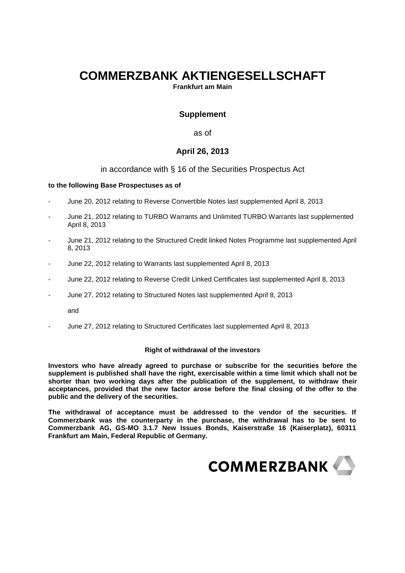# **COMMERZBANK AKTIENGESELLSCHAFT**

**Frankfurt am Main** 

# **Supplement**

as of

## **April 26, 2013**

## in accordance with § 16 of the Securities Prospectus Act

### **to the following Base Prospectuses as of**

- June 20, 2012 relating to Reverse Convertible Notes last supplemented April 8, 2013
- June 21, 2012 relating to TURBO Warrants and Unlimited TURBO Warrants last supplemented April 8, 2013
- June 21, 2012 relating to the Structured Credit linked Notes Programme last supplemented April 8, 2013
- June 22, 2012 relating to Warrants last supplemented April 8, 2013
- June 22, 2012 relating to Reverse Credit Linked Certificates last supplemented April 8, 2013
- June 27, 2012 relating to Structured Notes last supplemented April 8, 2013

and

- June 27, 2012 relating to Structured Certificates last supplemented April 8, 2013

### **Right of withdrawal of the investors**

**Investors who have already agreed to purchase or subscribe for the securities before the supplement is published shall have the right, exercisable within a time limit which shall not be shorter than two working days after the publication of the supplement, to withdraw their acceptances, provided that the new factor arose before the final closing of the offer to the public and the delivery of the securities.** 

**The withdrawal of acceptance must be addressed to the vendor of the securities. If Commerzbank was the counterparty in the purchase, the withdrawal has to be sent to Commerzbank AG, GS-MO 3.1.7 New Issues Bonds, Kaiserstraße 16 (Kaiserplatz), 60311 Frankfurt am Main, Federal Republic of Germany.**